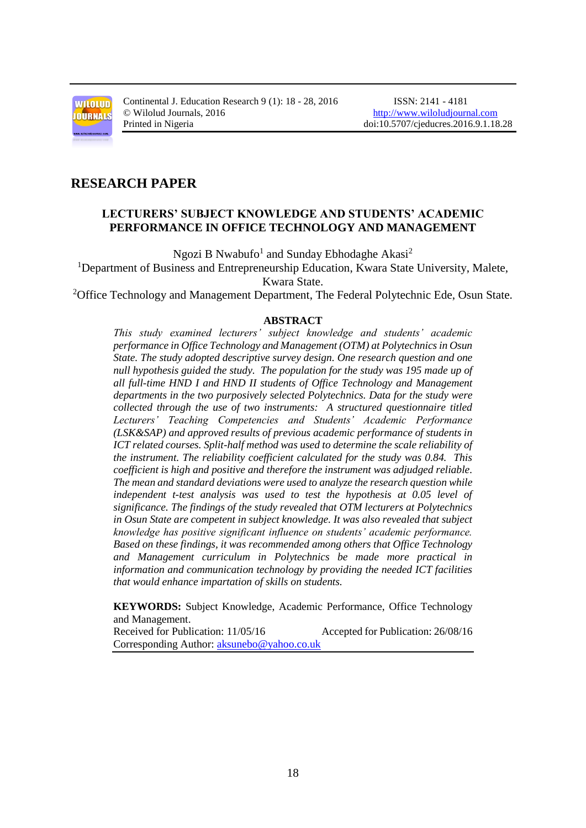

Continental J. Education Research 9 (1): 18 - 28, 2016 ISSN: 2141 - 4181 © Wilolud Journals, 2016 [http://www.wiloludjournal.com](http://www.wiloludjournal.com/)

## **RESEARCH PAPER**

## **LECTURERS' SUBJECT KNOWLEDGE AND STUDENTS' ACADEMIC PERFORMANCE IN OFFICE TECHNOLOGY AND MANAGEMENT**

Ngozi B Nwabufo<sup>1</sup> and Sunday Ebhodaghe Akasi<sup>2</sup>

<sup>1</sup>Department of Business and Entrepreneurship Education, Kwara State University, Malete, Kwara State.

<sup>2</sup>Office Technology and Management Department, The Federal Polytechnic Ede, Osun State.

#### **ABSTRACT**

*This study examined lecturers' subject knowledge and students' academic performance in Office Technology and Management (OTM) at Polytechnics in Osun State. The study adopted descriptive survey design. One research question and one null hypothesis guided the study. The population for the study was 195 made up of all full-time HND I and HND II students of Office Technology and Management departments in the two purposively selected Polytechnics. Data for the study were collected through the use of two instruments: A structured questionnaire titled Lecturers' Teaching Competencies and Students' Academic Performance (LSK&SAP) and approved results of previous academic performance of students in ICT related courses. Split-half method was used to determine the scale reliability of the instrument. The reliability coefficient calculated for the study was 0.84. This coefficient is high and positive and therefore the instrument was adjudged reliable. The mean and standard deviations were used to analyze the research question while independent t-test analysis was used to test the hypothesis at 0.05 level of significance. The findings of the study revealed that OTM lecturers at Polytechnics in Osun State are competent in subject knowledge. It was also revealed that subject knowledge has positive significant influence on students' academic performance. Based on these findings, it was recommended among others that Office Technology and Management curriculum in Polytechnics be made more practical in information and communication technology by providing the needed ICT facilities that would enhance impartation of skills on students.* 

 **KEYWORDS:** Subject Knowledge, Academic Performance, Office Technology and Management.

Received for Publication: 11/05/16 Accepted for Publication: 26/08/16 Corresponding Author: [aksunebo@yahoo.co.uk](mailto:aksunebo@yahoo.co.uk)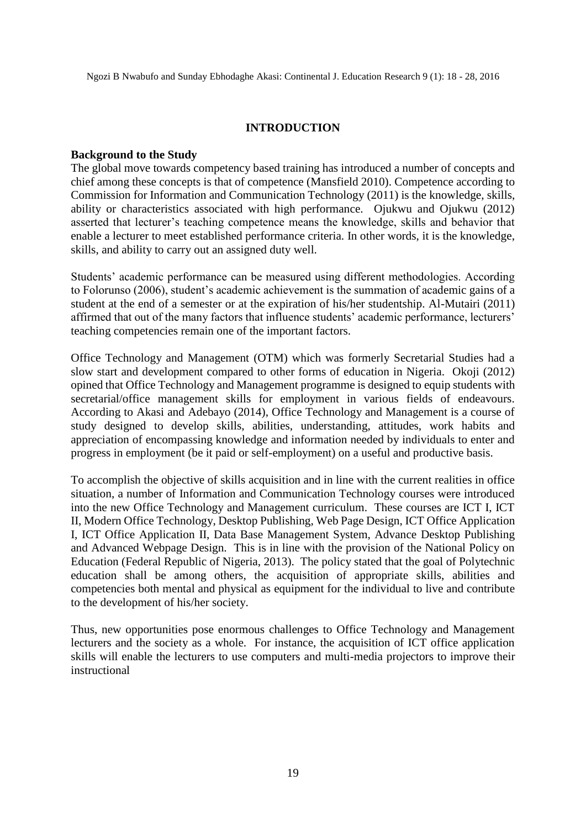## **INTRODUCTION**

#### **Background to the Study**

The global move towards competency based training has introduced a number of concepts and chief among these concepts is that of competence (Mansfield 2010). Competence according to Commission for Information and Communication Technology (2011) is the knowledge, skills, ability or characteristics associated with high performance. Ojukwu and Ojukwu (2012) asserted that lecturer's teaching competence means the knowledge, skills and behavior that enable a lecturer to meet established performance criteria. In other words, it is the knowledge, skills, and ability to carry out an assigned duty well.

Students' academic performance can be measured using different methodologies. According to Folorunso (2006), student's academic achievement is the summation of academic gains of a student at the end of a semester or at the expiration of his/her studentship. Al-Mutairi (2011) affirmed that out of the many factors that influence students' academic performance, lecturers' teaching competencies remain one of the important factors.

Office Technology and Management (OTM) which was formerly Secretarial Studies had a slow start and development compared to other forms of education in Nigeria. Okoji (2012) opined that Office Technology and Management programme is designed to equip students with secretarial/office management skills for employment in various fields of endeavours. According to Akasi and Adebayo (2014), Office Technology and Management is a course of study designed to develop skills, abilities, understanding, attitudes, work habits and appreciation of encompassing knowledge and information needed by individuals to enter and progress in employment (be it paid or self-employment) on a useful and productive basis.

To accomplish the objective of skills acquisition and in line with the current realities in office situation, a number of Information and Communication Technology courses were introduced into the new Office Technology and Management curriculum. These courses are ICT I, ICT II, Modern Office Technology, Desktop Publishing, Web Page Design, ICT Office Application I, ICT Office Application II, Data Base Management System, Advance Desktop Publishing and Advanced Webpage Design. This is in line with the provision of the National Policy on Education (Federal Republic of Nigeria, 2013). The policy stated that the goal of Polytechnic education shall be among others, the acquisition of appropriate skills, abilities and competencies both mental and physical as equipment for the individual to live and contribute to the development of his/her society.

Thus, new opportunities pose enormous challenges to Office Technology and Management lecturers and the society as a whole. For instance, the acquisition of ICT office application skills will enable the lecturers to use computers and multi-media projectors to improve their instructional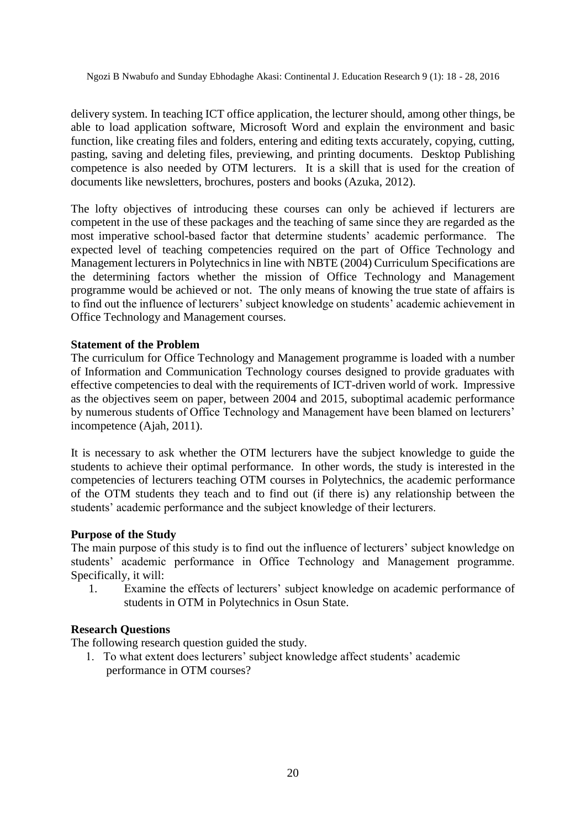delivery system. In teaching ICT office application, the lecturer should, among other things, be able to load application software, Microsoft Word and explain the environment and basic function, like creating files and folders, entering and editing texts accurately, copying, cutting, pasting, saving and deleting files, previewing, and printing documents. Desktop Publishing competence is also needed by OTM lecturers. It is a skill that is used for the creation of documents like newsletters, brochures, posters and books (Azuka, 2012).

The lofty objectives of introducing these courses can only be achieved if lecturers are competent in the use of these packages and the teaching of same since they are regarded as the most imperative school-based factor that determine students' academic performance. The expected level of teaching competencies required on the part of Office Technology and Management lecturers in Polytechnics in line with NBTE (2004) Curriculum Specifications are the determining factors whether the mission of Office Technology and Management programme would be achieved or not. The only means of knowing the true state of affairs is to find out the influence of lecturers' subject knowledge on students' academic achievement in Office Technology and Management courses.

## **Statement of the Problem**

The curriculum for Office Technology and Management programme is loaded with a number of Information and Communication Technology courses designed to provide graduates with effective competencies to deal with the requirements of ICT-driven world of work. Impressive as the objectives seem on paper, between 2004 and 2015, suboptimal academic performance by numerous students of Office Technology and Management have been blamed on lecturers' incompetence (Ajah, 2011).

It is necessary to ask whether the OTM lecturers have the subject knowledge to guide the students to achieve their optimal performance. In other words, the study is interested in the competencies of lecturers teaching OTM courses in Polytechnics, the academic performance of the OTM students they teach and to find out (if there is) any relationship between the students' academic performance and the subject knowledge of their lecturers.

## **Purpose of the Study**

The main purpose of this study is to find out the influence of lecturers' subject knowledge on students' academic performance in Office Technology and Management programme. Specifically, it will:

1. Examine the effects of lecturers' subject knowledge on academic performance of students in OTM in Polytechnics in Osun State.

## **Research Questions**

The following research question guided the study.

 1. To what extent does lecturers' subject knowledge affect students' academic performance in OTM courses?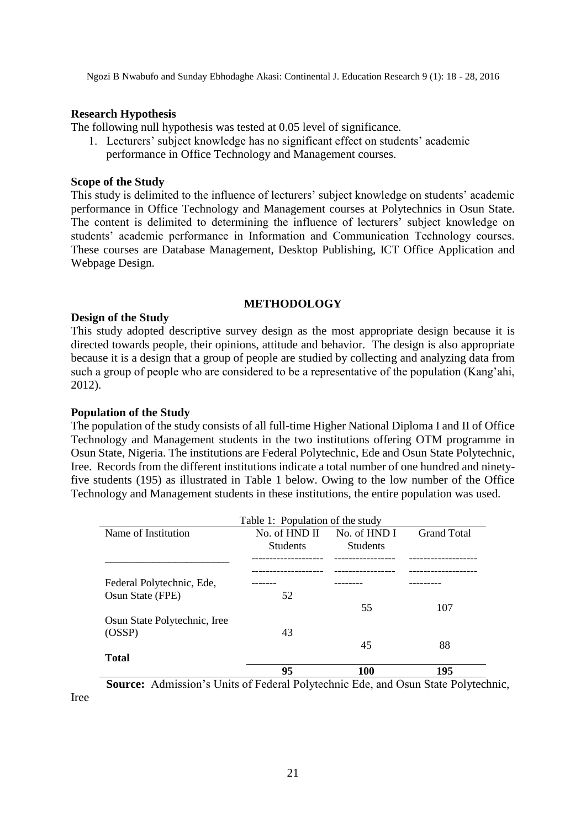#### **Research Hypothesis**

The following null hypothesis was tested at 0.05 level of significance.

 1. Lecturers' subject knowledge has no significant effect on students' academic performance in Office Technology and Management courses.

#### **Scope of the Study**

This study is delimited to the influence of lecturers' subject knowledge on students' academic performance in Office Technology and Management courses at Polytechnics in Osun State. The content is delimited to determining the influence of lecturers' subject knowledge on students' academic performance in Information and Communication Technology courses. These courses are Database Management, Desktop Publishing, ICT Office Application and Webpage Design.

#### **METHODOLOGY**

#### **Design of the Study**

This study adopted descriptive survey design as the most appropriate design because it is directed towards people, their opinions, attitude and behavior. The design is also appropriate because it is a design that a group of people are studied by collecting and analyzing data from such a group of people who are considered to be a representative of the population (Kang'ahi, 2012).

#### **Population of the Study**

Iree

The population of the study consists of all full-time Higher National Diploma I and II of Office Technology and Management students in the two institutions offering OTM programme in Osun State, Nigeria. The institutions are Federal Polytechnic, Ede and Osun State Polytechnic, Iree. Records from the different institutions indicate a total number of one hundred and ninetyfive students (195) as illustrated in Table 1 below. Owing to the low number of the Office Technology and Management students in these institutions, the entire population was used.

|                              | Table 1: Population of the study       |                 |                         |  |
|------------------------------|----------------------------------------|-----------------|-------------------------|--|
| Name of Institution          | No. of HND II                          | No. of HND I    | <b>Grand Total</b>      |  |
|                              | <b>Students</b>                        | <b>Students</b> |                         |  |
|                              |                                        |                 |                         |  |
| Federal Polytechnic, Ede,    |                                        |                 |                         |  |
| Osun State (FPE)             | 52                                     | 55              | 107                     |  |
| Osun State Polytechnic, Iree |                                        |                 |                         |  |
| (OSSP)                       | 43                                     |                 |                         |  |
|                              |                                        | 45              | 88                      |  |
| <b>Total</b>                 |                                        |                 |                         |  |
|                              | 95                                     | 100             | 195                     |  |
| .<br>$\sim$                  | $\sim$ $\sim$ $\sim$<br>$\overline{1}$ | $\sim$          | $\sim$<br>$\sim$ $\sim$ |  |

**Source:** Admission's Units of Federal Polytechnic Ede, and Osun State Polytechnic,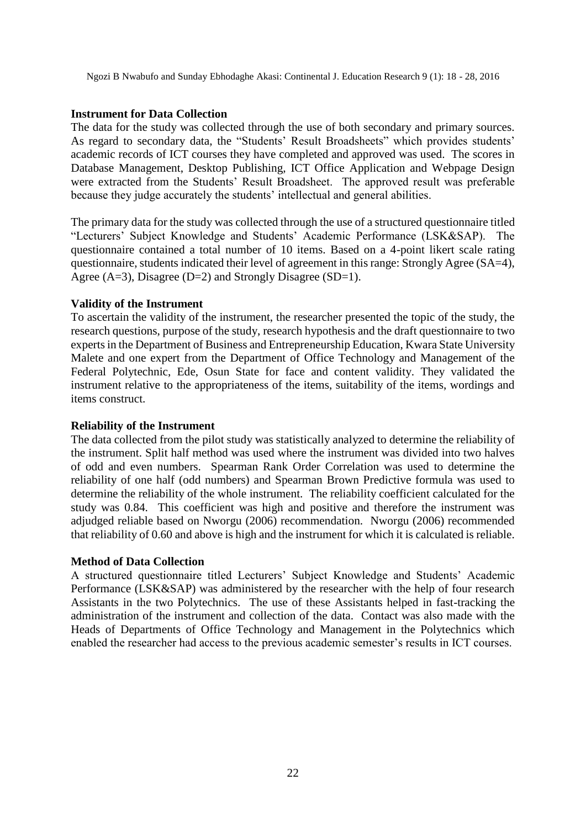#### **Instrument for Data Collection**

The data for the study was collected through the use of both secondary and primary sources. As regard to secondary data, the "Students' Result Broadsheets" which provides students' academic records of ICT courses they have completed and approved was used. The scores in Database Management, Desktop Publishing, ICT Office Application and Webpage Design were extracted from the Students' Result Broadsheet. The approved result was preferable because they judge accurately the students' intellectual and general abilities.

The primary data for the study was collected through the use of a structured questionnaire titled "Lecturers' Subject Knowledge and Students' Academic Performance (LSK&SAP). The questionnaire contained a total number of 10 items. Based on a 4-point likert scale rating questionnaire, students indicated their level of agreement in this range: Strongly Agree (SA=4), Agree (A=3), Disagree (D=2) and Strongly Disagree (SD=1).

#### **Validity of the Instrument**

To ascertain the validity of the instrument, the researcher presented the topic of the study, the research questions, purpose of the study, research hypothesis and the draft questionnaire to two experts in the Department of Business and Entrepreneurship Education, Kwara State University Malete and one expert from the Department of Office Technology and Management of the Federal Polytechnic, Ede, Osun State for face and content validity. They validated the instrument relative to the appropriateness of the items, suitability of the items, wordings and items construct.

#### **Reliability of the Instrument**

The data collected from the pilot study was statistically analyzed to determine the reliability of the instrument. Split half method was used where the instrument was divided into two halves of odd and even numbers. Spearman Rank Order Correlation was used to determine the reliability of one half (odd numbers) and Spearman Brown Predictive formula was used to determine the reliability of the whole instrument. The reliability coefficient calculated for the study was 0.84. This coefficient was high and positive and therefore the instrument was adjudged reliable based on Nworgu (2006) recommendation. Nworgu (2006) recommended that reliability of 0.60 and above is high and the instrument for which it is calculated is reliable.

#### **Method of Data Collection**

A structured questionnaire titled Lecturers' Subject Knowledge and Students' Academic Performance (LSK&SAP) was administered by the researcher with the help of four research Assistants in the two Polytechnics. The use of these Assistants helped in fast-tracking the administration of the instrument and collection of the data. Contact was also made with the Heads of Departments of Office Technology and Management in the Polytechnics which enabled the researcher had access to the previous academic semester's results in ICT courses.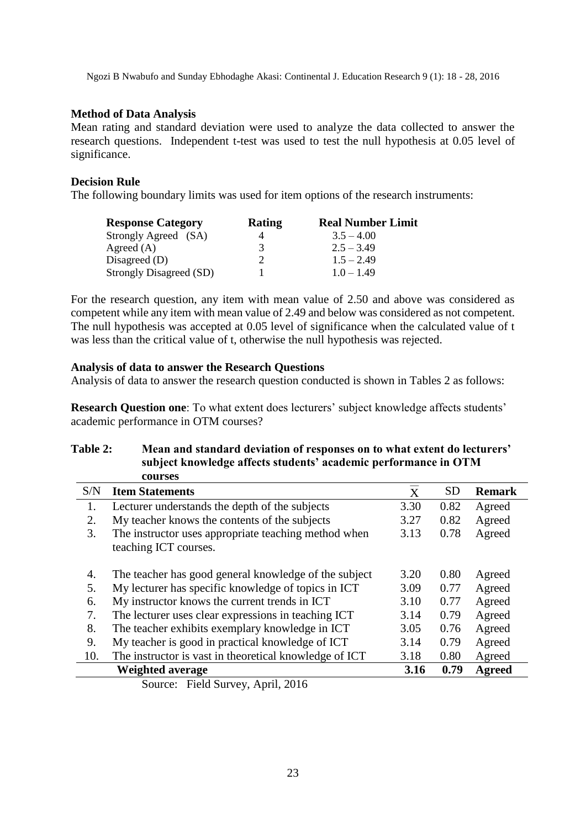#### **Method of Data Analysis**

Mean rating and standard deviation were used to analyze the data collected to answer the research questions. Independent t-test was used to test the null hypothesis at 0.05 level of significance.

## **Decision Rule**

The following boundary limits was used for item options of the research instruments:

| <b>Response Category</b>       | Rating | <b>Real Number Limit</b> |  |  |
|--------------------------------|--------|--------------------------|--|--|
| Strongly Agreed (SA)           |        | $3.5 - 4.00$             |  |  |
| Agreed $(A)$                   | 3      | $2.5 - 3.49$             |  |  |
| Disagreed $(D)$                |        | $1.5 - 2.49$             |  |  |
| <b>Strongly Disagreed (SD)</b> |        | $1.0 - 1.49$             |  |  |

For the research question, any item with mean value of 2.50 and above was considered as competent while any item with mean value of 2.49 and below was considered as not competent. The null hypothesis was accepted at 0.05 level of significance when the calculated value of t was less than the critical value of t, otherwise the null hypothesis was rejected.

#### **Analysis of data to answer the Research Questions**

Analysis of data to answer the research question conducted is shown in Tables 2 as follows:

**Research Question one**: To what extent does lecturers' subject knowledge affects students' academic performance in OTM courses?

| subject knowledge affects students academic performance in O I M |                                                                               |                |           |               |  |
|------------------------------------------------------------------|-------------------------------------------------------------------------------|----------------|-----------|---------------|--|
|                                                                  | courses                                                                       |                |           |               |  |
| S/N                                                              | <b>Item Statements</b>                                                        | $\overline{X}$ | <b>SD</b> | <b>Remark</b> |  |
| 1.                                                               | Lecturer understands the depth of the subjects                                | 3.30           | 0.82      | Agreed        |  |
| 2.                                                               | My teacher knows the contents of the subjects                                 | 3.27           | 0.82      | Agreed        |  |
| 3.                                                               | The instructor uses appropriate teaching method when<br>teaching ICT courses. | 3.13           | 0.78      | Agreed        |  |
| 4.                                                               | The teacher has good general knowledge of the subject                         | 3.20           | 0.80      | Agreed        |  |
| 5.                                                               | My lecturer has specific knowledge of topics in ICT                           | 3.09           | 0.77      | Agreed        |  |
| 6.                                                               | My instructor knows the current trends in ICT                                 | 3.10           | 0.77      | Agreed        |  |
| 7.                                                               | The lecturer uses clear expressions in teaching ICT                           | 3.14           | 0.79      | Agreed        |  |
| 8.                                                               | The teacher exhibits exemplary knowledge in ICT                               | 3.05           | 0.76      | Agreed        |  |
| 9.                                                               | My teacher is good in practical knowledge of ICT                              | 3.14           | 0.79      | Agreed        |  |
| 10.                                                              | The instructor is vast in theoretical knowledge of ICT                        | 3.18           | 0.80      | Agreed        |  |
|                                                                  | <b>Weighted average</b>                                                       | 3.16           | 0.79      | <b>Agreed</b> |  |

# **Table 2: Mean and standard deviation of responses on to what extent do lecturers' subject knowledge affects students' academic performance in OTM**

Source: Field Survey, April, 2016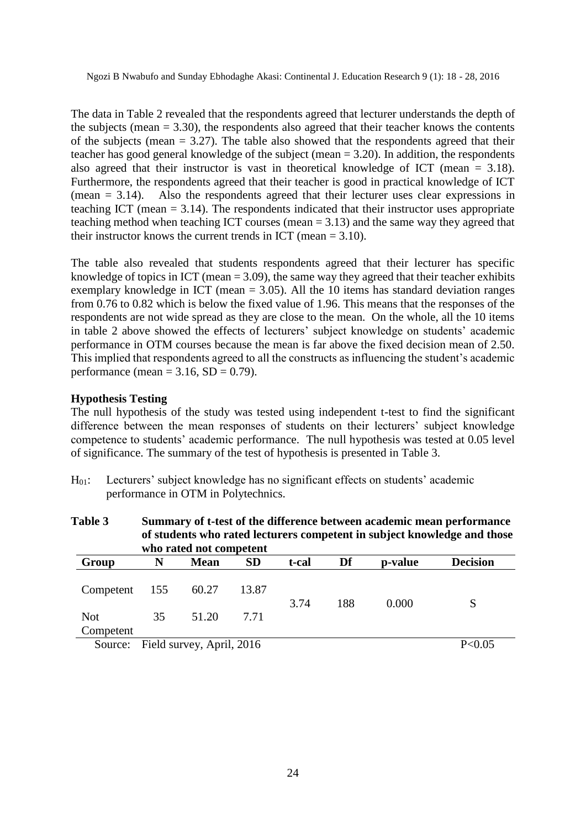The data in Table 2 revealed that the respondents agreed that lecturer understands the depth of the subjects (mean  $= 3.30$ ), the respondents also agreed that their teacher knows the contents of the subjects (mean  $= 3.27$ ). The table also showed that the respondents agreed that their teacher has good general knowledge of the subject (mean  $= 3.20$ ). In addition, the respondents also agreed that their instructor is vast in theoretical knowledge of ICT (mean  $= 3.18$ ). Furthermore, the respondents agreed that their teacher is good in practical knowledge of ICT (mean = 3.14). Also the respondents agreed that their lecturer uses clear expressions in teaching ICT (mean  $= 3.14$ ). The respondents indicated that their instructor uses appropriate teaching method when teaching ICT courses (mean = 3.13) and the same way they agreed that their instructor knows the current trends in ICT (mean  $= 3.10$ ).

The table also revealed that students respondents agreed that their lecturer has specific knowledge of topics in ICT (mean  $= 3.09$ ), the same way they agreed that their teacher exhibits exemplary knowledge in ICT (mean = 3.05). All the 10 items has standard deviation ranges from 0.76 to 0.82 which is below the fixed value of 1.96. This means that the responses of the respondents are not wide spread as they are close to the mean. On the whole, all the 10 items in table 2 above showed the effects of lecturers' subject knowledge on students' academic performance in OTM courses because the mean is far above the fixed decision mean of 2.50. This implied that respondents agreed to all the constructs as influencing the student's academic performance (mean =  $3.16$ , SD = 0.79).

## **Hypothesis Testing**

The null hypothesis of the study was tested using independent t-test to find the significant difference between the mean responses of students on their lecturers' subject knowledge competence to students' academic performance. The null hypothesis was tested at 0.05 level of significance. The summary of the test of hypothesis is presented in Table 3.

H01: Lecturers' subject knowledge has no significant effects on students' academic performance in OTM in Polytechnics.

| Table 3    | Summary of t-test of the difference between academic mean performance<br>of students who rated lecturers competent in subject knowledge and those<br>who rated not competent |             |           |       |     |         |                 |
|------------|------------------------------------------------------------------------------------------------------------------------------------------------------------------------------|-------------|-----------|-------|-----|---------|-----------------|
| Group      | N                                                                                                                                                                            | <b>Mean</b> | <b>SD</b> | t-cal | Df  | p-value | <b>Decision</b> |
| Competent  | 155                                                                                                                                                                          | 60.27       | 13.87     | 3.74  | 188 | 0.000   | S               |
| <b>Not</b> | 35                                                                                                                                                                           | 51.20       | 7.71      |       |     |         |                 |
| Competent  |                                                                                                                                                                              |             |           |       |     |         |                 |
| Source:    | Field survey, April, 2016                                                                                                                                                    |             |           |       |     | P<0.05  |                 |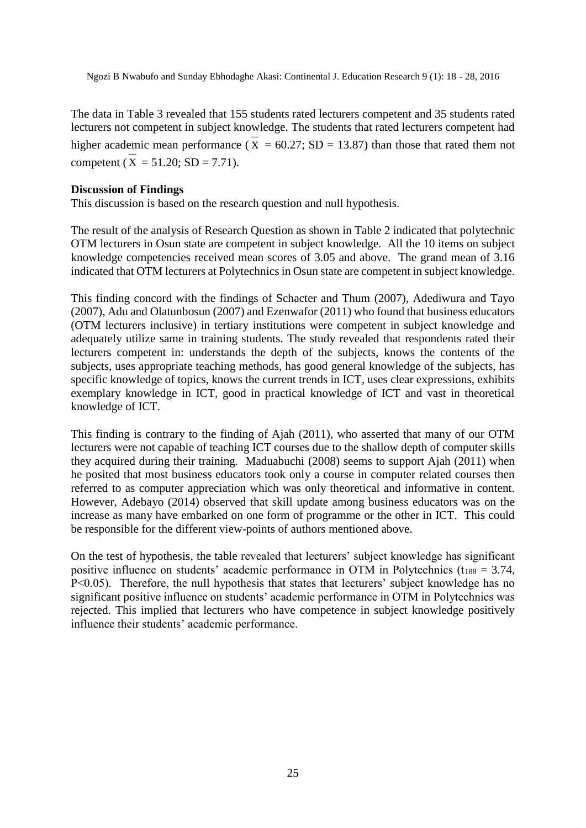The data in Table 3 revealed that 155 students rated lecturers competent and 35 students rated lecturers not competent in subject knowledge. The students that rated lecturers competent had higher academic mean performance ( $X = 60.27$ ; SD = 13.87) than those that rated them not competent ( $X = 51.20$ ;  $SD = 7.71$ ).

#### **Discussion of Findings**

This discussion is based on the research question and null hypothesis.

The result of the analysis of Research Question as shown in Table 2 indicated that polytechnic OTM lecturers in Osun state are competent in subject knowledge. All the 10 items on subject knowledge competencies received mean scores of 3.05 and above. The grand mean of 3.16 indicated that OTM lecturers at Polytechnics in Osun state are competent in subject knowledge.

This finding concord with the findings of Schacter and Thum (2007), Adediwura and Tayo (2007), Adu and Olatunbosun (2007) and Ezenwafor (2011) who found that business educators (OTM lecturers inclusive) in tertiary institutions were competent in subject knowledge and adequately utilize same in training students. The study revealed that respondents rated their lecturers competent in: understands the depth of the subjects, knows the contents of the subjects, uses appropriate teaching methods, has good general knowledge of the subjects, has specific knowledge of topics, knows the current trends in ICT, uses clear expressions, exhibits exemplary knowledge in ICT, good in practical knowledge of ICT and vast in theoretical knowledge of ICT.

This finding is contrary to the finding of Ajah (2011), who asserted that many of our OTM lecturers were not capable of teaching ICT courses due to the shallow depth of computer skills they acquired during their training. Maduabuchi (2008) seems to support Ajah (2011) when he posited that most business educators took only a course in computer related courses then referred to as computer appreciation which was only theoretical and informative in content. However, Adebayo (2014) observed that skill update among business educators was on the increase as many have embarked on one form of programme or the other in ICT. This could be responsible for the different view-points of authors mentioned above.

On the test of hypothesis, the table revealed that lecturers' subject knowledge has significant positive influence on students' academic performance in OTM in Polytechnics ( $t_{188} = 3.74$ , P<0.05). Therefore, the null hypothesis that states that lecturers' subject knowledge has no significant positive influence on students' academic performance in OTM in Polytechnics was rejected. This implied that lecturers who have competence in subject knowledge positively influence their students' academic performance.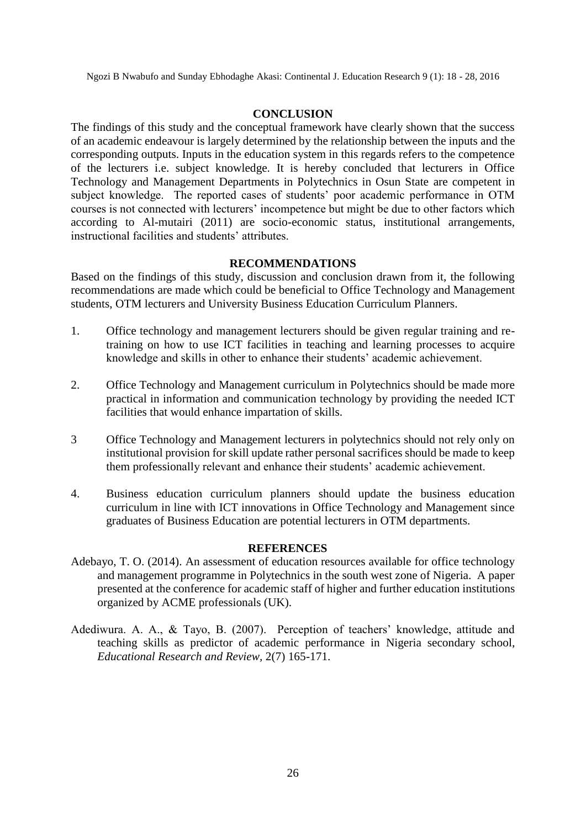#### **CONCLUSION**

The findings of this study and the conceptual framework have clearly shown that the success of an academic endeavour is largely determined by the relationship between the inputs and the corresponding outputs. Inputs in the education system in this regards refers to the competence of the lecturers i.e. subject knowledge. It is hereby concluded that lecturers in Office Technology and Management Departments in Polytechnics in Osun State are competent in subject knowledge. The reported cases of students' poor academic performance in OTM courses is not connected with lecturers' incompetence but might be due to other factors which according to Al-mutairi (2011) are socio-economic status, institutional arrangements, instructional facilities and students' attributes.

#### **RECOMMENDATIONS**

Based on the findings of this study, discussion and conclusion drawn from it, the following recommendations are made which could be beneficial to Office Technology and Management students, OTM lecturers and University Business Education Curriculum Planners.

- 1. Office technology and management lecturers should be given regular training and retraining on how to use ICT facilities in teaching and learning processes to acquire knowledge and skills in other to enhance their students' academic achievement.
- 2. Office Technology and Management curriculum in Polytechnics should be made more practical in information and communication technology by providing the needed ICT facilities that would enhance impartation of skills.
- 3 Office Technology and Management lecturers in polytechnics should not rely only on institutional provision for skill update rather personal sacrifices should be made to keep them professionally relevant and enhance their students' academic achievement.
- 4. Business education curriculum planners should update the business education curriculum in line with ICT innovations in Office Technology and Management since graduates of Business Education are potential lecturers in OTM departments.

## **REFERENCES**

- Adebayo, T. O. (2014). An assessment of education resources available for office technology and management programme in Polytechnics in the south west zone of Nigeria. A paper presented at the conference for academic staff of higher and further education institutions organized by ACME professionals (UK).
- Adediwura. A. A., & Tayo, B. (2007). Perception of teachers' knowledge, attitude and teaching skills as predictor of academic performance in Nigeria secondary school*, Educational Research and Review,* 2(7) 165-171.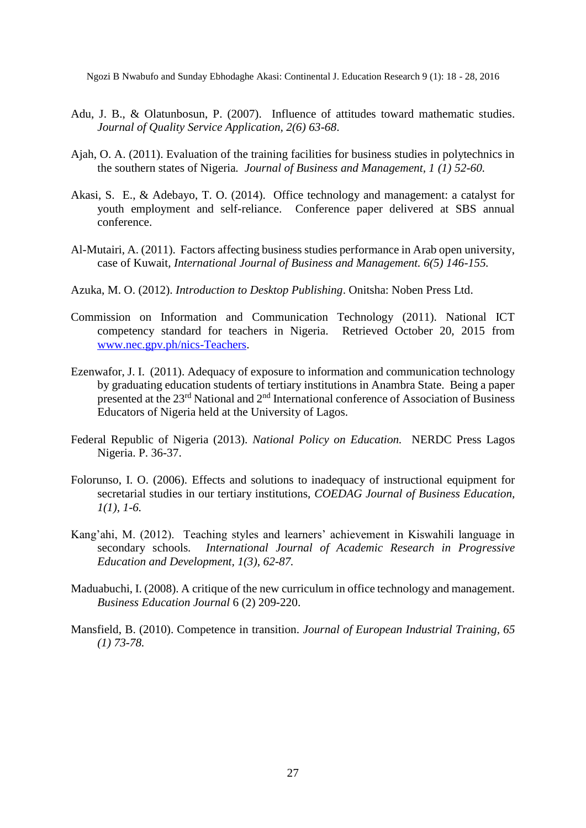- Adu, J. B., & Olatunbosun, P. (2007). Influence of attitudes toward mathematic studies. *Journal of Quality Service Application, 2(6) 63-68*.
- Ajah, O. A. (2011). Evaluation of the training facilities for business studies in polytechnics in the southern states of Nigeria*. Journal of Business and Management, 1 (1) 52-60.*
- Akasi, S. E., & Adebayo, T. O. (2014). Office technology and management: a catalyst for youth employment and self-reliance. Conference paper delivered at SBS annual conference.
- Al-Mutairi, A. (2011). Factors affecting business studies performance in Arab open university, case of Kuwait*, International Journal of Business and Management. 6(5) 146-155.*
- Azuka, M. O. (2012). *Introduction to Desktop Publishing*. Onitsha: Noben Press Ltd.
- Commission on Information and Communication Technology (2011). National ICT competency standard for teachers in Nigeria. Retrieved October 20, 2015 from [www.nec.gpv.ph/nics-Teachers.](http://www.nec.gpv.ph/nics-Teachers)
- Ezenwafor, J. I. (2011). Adequacy of exposure to information and communication technology by graduating education students of tertiary institutions in Anambra State. Being a paper presented at the 23rd National and 2nd International conference of Association of Business Educators of Nigeria held at the University of Lagos.
- Federal Republic of Nigeria (2013). *National Policy on Education.* NERDC Press Lagos Nigeria. P. 36-37.
- Folorunso, I. O. (2006). Effects and solutions to inadequacy of instructional equipment for secretarial studies in our tertiary institutions, *COEDAG Journal of Business Education, 1(1), 1-6.*
- Kang'ahi, M. (2012). Teaching styles and learners' achievement in Kiswahili language in secondary schools*. International Journal of Academic Research in Progressive Education and Development, 1(3), 62-87.*
- Maduabuchi, I. (2008). A critique of the new curriculum in office technology and management. *Business Education Journal* 6 (2) 209-220.
- Mansfield, B. (2010). Competence in transition. *Journal of European Industrial Training, 65 (1) 73-78.*